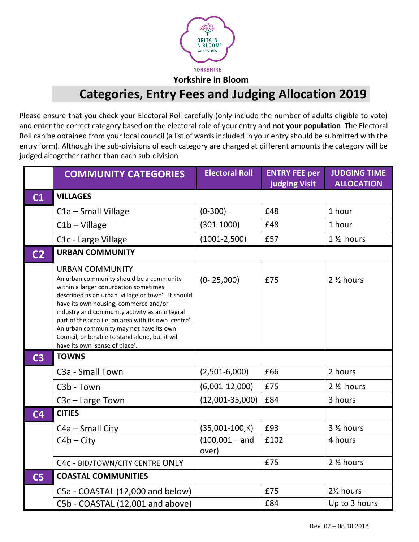

**Yorkshire in Bloom**

## **Categories, Entry Fees and Judging Allocation 2019**

Please ensure that you check your Electoral Roll carefully (only include the number of adults eligible to vote) and enter the correct category based on the electoral role of your entry and **not your population**. The Electoral Roll can be obtained from your local council (a list of wards included in your entry should be submitted with the entry form). Although the sub-divisions of each category are charged at different amounts the category will be judged altogether rather than each sub-division

|                | <b>COMMUNITY CATEGORIES</b>                                                                                                                                                                                                                                                                                                                                                                                                                          | <b>Electoral Roll</b>     | <b>ENTRY FEE per</b><br><b>judging Visit</b> | <b>JUDGING TIME</b><br><b>ALLOCATION</b> |
|----------------|------------------------------------------------------------------------------------------------------------------------------------------------------------------------------------------------------------------------------------------------------------------------------------------------------------------------------------------------------------------------------------------------------------------------------------------------------|---------------------------|----------------------------------------------|------------------------------------------|
| C1             | <b>VILLAGES</b>                                                                                                                                                                                                                                                                                                                                                                                                                                      |                           |                                              |                                          |
|                | C1a - Small Village                                                                                                                                                                                                                                                                                                                                                                                                                                  | $(0-300)$                 | £48                                          | 1 hour                                   |
|                | $C1b - Village$                                                                                                                                                                                                                                                                                                                                                                                                                                      | $(301-1000)$              | £48                                          | 1 hour                                   |
|                | C1c - Large Village                                                                                                                                                                                                                                                                                                                                                                                                                                  | $(1001 - 2,500)$          | £57                                          | 1 1/ <sub>2</sub> hours                  |
| C <sub>2</sub> | <b>URBAN COMMUNITY</b>                                                                                                                                                                                                                                                                                                                                                                                                                               |                           |                                              |                                          |
|                | <b>URBAN COMMUNITY</b><br>An urban community should be a community<br>within a larger conurbation sometimes<br>described as an urban 'village or town'. It should<br>have its own housing, commerce and/or<br>industry and community activity as an integral<br>part of the area i.e. an area with its own 'centre'.<br>An urban community may not have its own<br>Council, or be able to stand alone, but it will<br>have its own 'sense of place'. | $(0 - 25,000)$            | £75                                          | 2 1/2 hours                              |
| C <sub>3</sub> | <b>TOWNS</b>                                                                                                                                                                                                                                                                                                                                                                                                                                         |                           |                                              |                                          |
|                | C3a - Small Town                                                                                                                                                                                                                                                                                                                                                                                                                                     | $(2,501-6,000)$           | £66                                          | 2 hours                                  |
|                | C3b - Town                                                                                                                                                                                                                                                                                                                                                                                                                                           | $(6,001-12,000)$          | £75                                          | 2 1/ <sub>2</sub> hours                  |
|                | $C3c - Large Town$                                                                                                                                                                                                                                                                                                                                                                                                                                   | $(12,001-35,000)$         | £84                                          | 3 hours                                  |
| C <sub>4</sub> | <b>CITIES</b>                                                                                                                                                                                                                                                                                                                                                                                                                                        |                           |                                              |                                          |
|                | C4a - Small City                                                                                                                                                                                                                                                                                                                                                                                                                                     | $(35,001-100,K)$          | £93                                          | 3 1/2 hours                              |
|                | $C4b - City$                                                                                                                                                                                                                                                                                                                                                                                                                                         | $(100,001 - and$<br>over) | £102                                         | 4 hours                                  |
|                | C4c - BID/TOWN/CITY CENTRE ONLY                                                                                                                                                                                                                                                                                                                                                                                                                      |                           | £75                                          | 2 1/2 hours                              |
| C <sub>5</sub> | <b>COASTAL COMMUNITIES</b>                                                                                                                                                                                                                                                                                                                                                                                                                           |                           |                                              |                                          |
|                | C5a - COASTAL (12,000 and below)                                                                                                                                                                                                                                                                                                                                                                                                                     |                           | £75                                          | 21/ <sub>2</sub> hours                   |
|                | C5b - COASTAL (12,001 and above)                                                                                                                                                                                                                                                                                                                                                                                                                     |                           | £84                                          | Up to 3 hours                            |